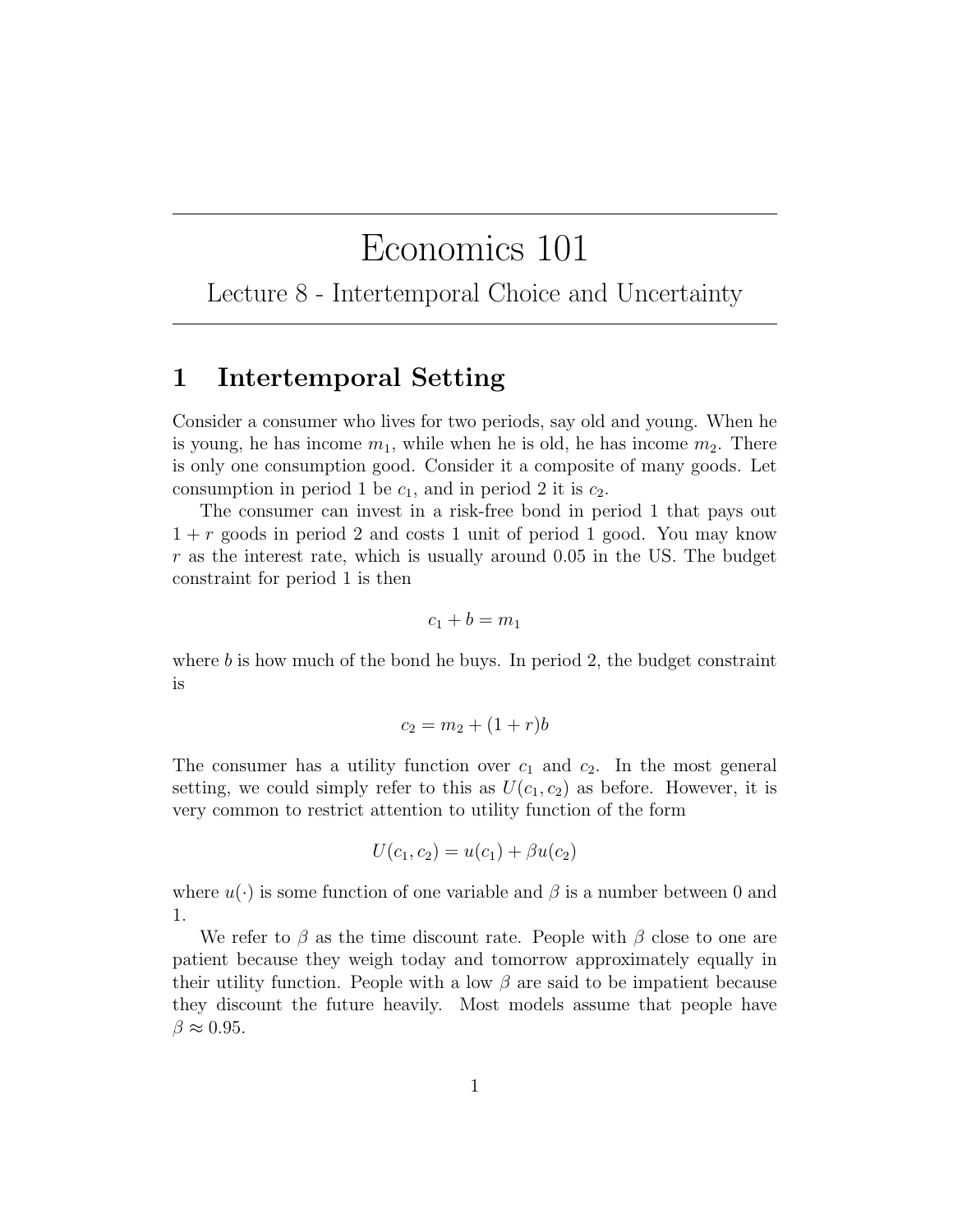# Economics 101

Lecture 8 - Intertemporal Choice and Uncertainty

## 1 Intertemporal Setting

Consider a consumer who lives for two periods, say old and young. When he is young, he has income  $m_1$ , while when he is old, he has income  $m_2$ . There is only one consumption good. Consider it a composite of many goods. Let consumption in period 1 be  $c_1$ , and in period 2 it is  $c_2$ .

The consumer can invest in a risk-free bond in period 1 that pays out  $1 + r$  goods in period 2 and costs 1 unit of period 1 good. You may know  $r$  as the interest rate, which is usually around 0.05 in the US. The budget constraint for period 1 is then

$$
c_1+b=m_1
$$

where  $b$  is how much of the bond he buys. In period 2, the budget constraint is

$$
c_2 = m_2 + (1+r)b
$$

The consumer has a utility function over  $c_1$  and  $c_2$ . In the most general setting, we could simply refer to this as  $U(c_1, c_2)$  as before. However, it is very common to restrict attention to utility function of the form

$$
U(c_1, c_2) = u(c_1) + \beta u(c_2)
$$

where  $u(\cdot)$  is some function of one variable and  $\beta$  is a number between 0 and 1.

We refer to  $\beta$  as the time discount rate. People with  $\beta$  close to one are patient because they weigh today and tomorrow approximately equally in their utility function. People with a low  $\beta$  are said to be impatient because they discount the future heavily. Most models assume that people have  $\beta \approx 0.95$ .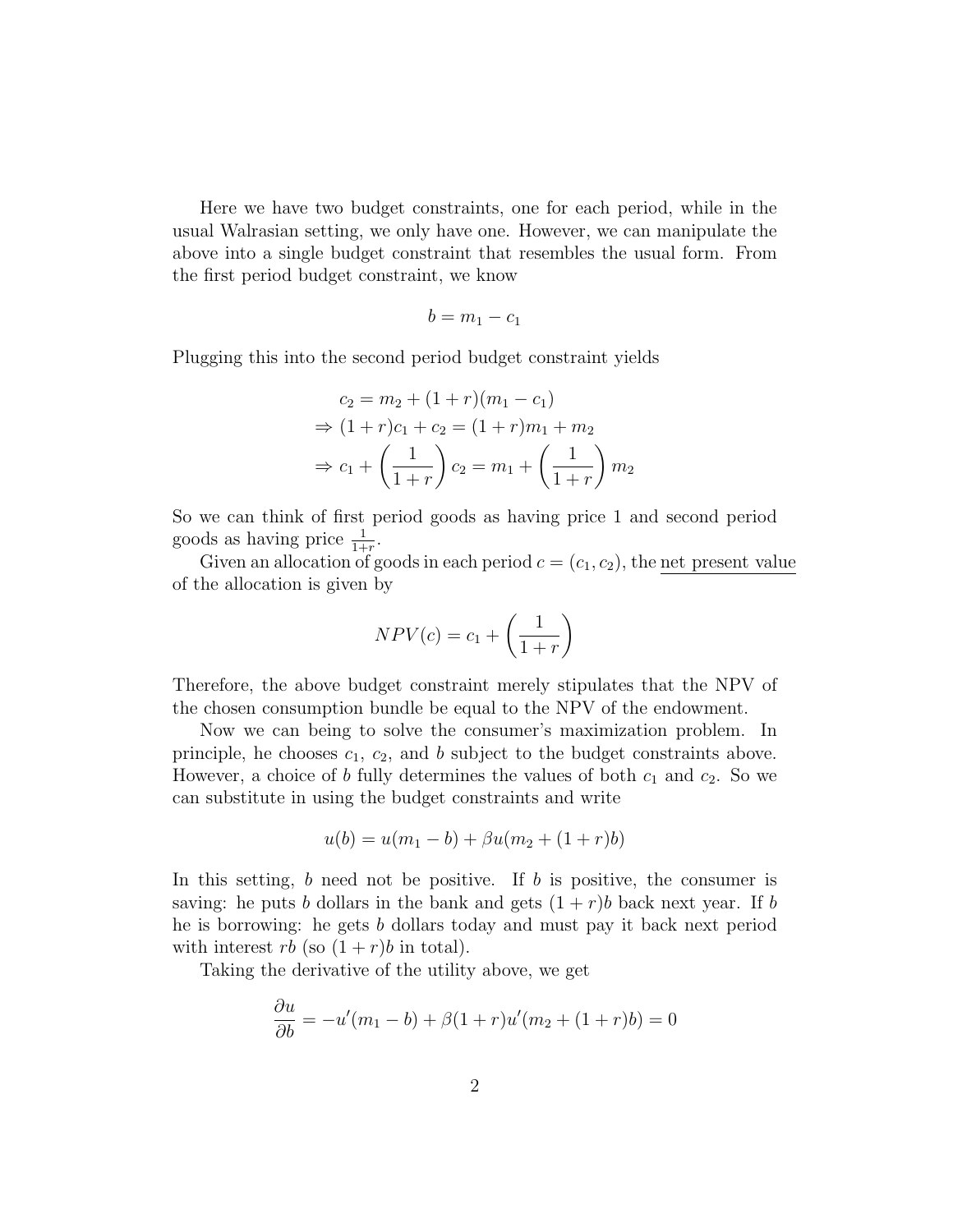Here we have two budget constraints, one for each period, while in the usual Walrasian setting, we only have one. However, we can manipulate the above into a single budget constraint that resembles the usual form. From the first period budget constraint, we know

$$
b=m_1-c_1
$$

Plugging this into the second period budget constraint yields

$$
c_2 = m_2 + (1+r)(m_1 - c_1)
$$
  
\n
$$
\Rightarrow (1+r)c_1 + c_2 = (1+r)m_1 + m_2
$$
  
\n
$$
\Rightarrow c_1 + \left(\frac{1}{1+r}\right)c_2 = m_1 + \left(\frac{1}{1+r}\right)m_2
$$

So we can think of first period goods as having price 1 and second period goods as having price  $\frac{1}{1+r}$ .

Given an allocation of goods in each period  $c = (c_1, c_2)$ , the net present value of the allocation is given by

$$
NPV(c) = c_1 + \left(\frac{1}{1+r}\right)
$$

Therefore, the above budget constraint merely stipulates that the NPV of the chosen consumption bundle be equal to the NPV of the endowment.

Now we can being to solve the consumer's maximization problem. In principle, he chooses  $c_1$ ,  $c_2$ , and b subject to the budget constraints above. However, a choice of b fully determines the values of both  $c_1$  and  $c_2$ . So we can substitute in using the budget constraints and write

$$
u(b) = u(m_1 - b) + \beta u(m_2 + (1 + r)b)
$$

In this setting,  $b$  need not be positive. If  $b$  is positive, the consumer is saving: he puts b dollars in the bank and gets  $(1 + r)b$  back next year. If b he is borrowing: he gets b dollars today and must pay it back next period with interest rb (so  $(1 + r)b$  in total).

Taking the derivative of the utility above, we get

$$
\frac{\partial u}{\partial b} = -u'(m_1 - b) + \beta(1 + r)u'(m_2 + (1 + r)b) = 0
$$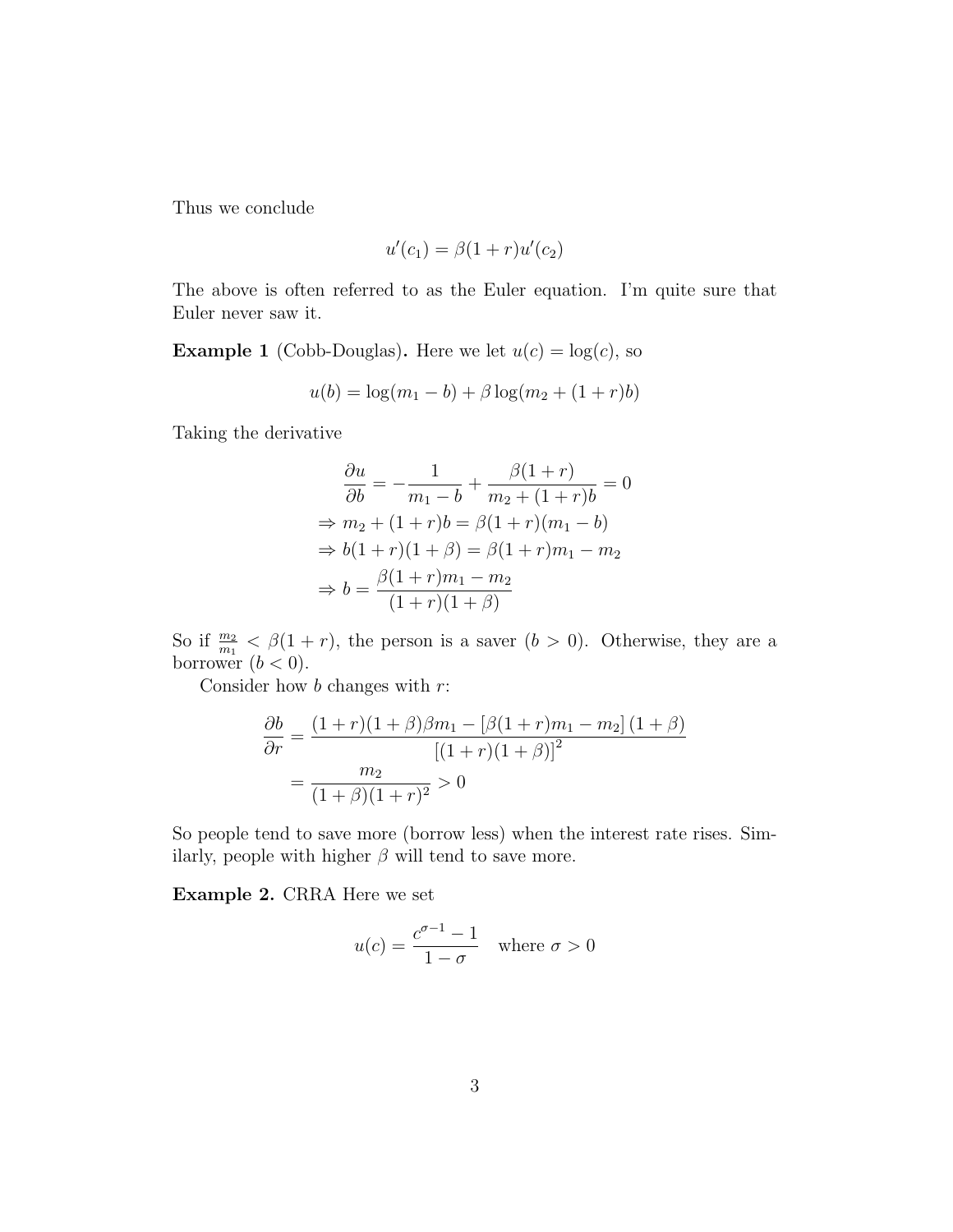Thus we conclude

$$
u'(c_1) = \beta(1+r)u'(c_2)
$$

The above is often referred to as the Euler equation. I'm quite sure that Euler never saw it.

**Example 1** (Cobb-Douglas). Here we let  $u(c) = \log(c)$ , so

$$
u(b) = \log(m_1 - b) + \beta \log(m_2 + (1 + r)b)
$$

Taking the derivative

$$
\frac{\partial u}{\partial b} = -\frac{1}{m_1 - b} + \frac{\beta(1+r)}{m_2 + (1+r)b} = 0
$$
  
\n
$$
\Rightarrow m_2 + (1+r)b = \beta(1+r)(m_1 - b)
$$
  
\n
$$
\Rightarrow b(1+r)(1+\beta) = \beta(1+r)m_1 - m_2
$$
  
\n
$$
\Rightarrow b = \frac{\beta(1+r)m_1 - m_2}{(1+r)(1+\beta)}
$$

So if  $\frac{m_2}{m_1} < \beta(1+r)$ , the person is a saver  $(b > 0)$ . Otherwise, they are a borrower  $(b < 0)$ .

Consider how  $b$  changes with  $r$ :

$$
\frac{\partial b}{\partial r} = \frac{(1+r)(1+\beta)\beta m_1 - [\beta(1+r)m_1 - m_2](1+\beta)}{[(1+r)(1+\beta)]^2}
$$

$$
= \frac{m_2}{(1+\beta)(1+r)^2} > 0
$$

So people tend to save more (borrow less) when the interest rate rises. Similarly, people with higher  $\beta$  will tend to save more.

Example 2. CRRA Here we set

$$
u(c) = \frac{c^{\sigma - 1} - 1}{1 - \sigma} \quad \text{where } \sigma > 0
$$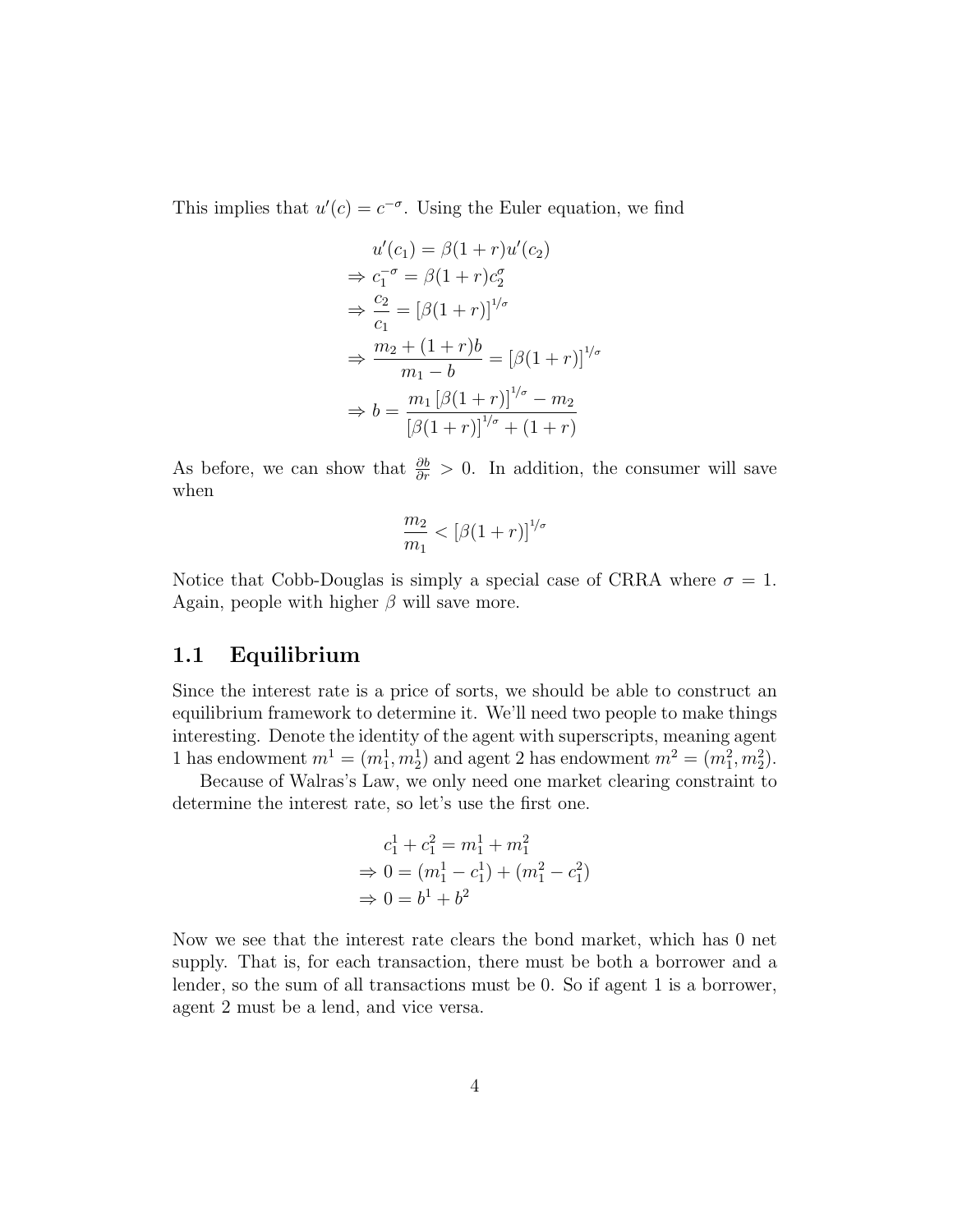This implies that  $u'(c) = c^{-\sigma}$ . Using the Euler equation, we find

$$
u'(c_1) = \beta(1+r)u'(c_2)
$$
  
\n
$$
\Rightarrow c_1^{-\sigma} = \beta(1+r)c_2^{\sigma}
$$
  
\n
$$
\Rightarrow \frac{c_2}{c_1} = [\beta(1+r)]^{1/\sigma}
$$
  
\n
$$
\Rightarrow \frac{m_2 + (1+r)b}{m_1 - b} = [\beta(1+r)]^{1/\sigma}
$$
  
\n
$$
\Rightarrow b = \frac{m_1 [\beta(1+r)]^{1/\sigma} - m_2}{[\beta(1+r)]^{1/\sigma} + (1+r)}
$$

As before, we can show that  $\frac{\partial b}{\partial r} > 0$ . In addition, the consumer will save when

$$
\frac{m_2}{m_1} < \left[\beta(1+r)\right]^{1/\sigma}
$$

Notice that Cobb-Douglas is simply a special case of CRRA where  $\sigma = 1$ . Again, people with higher  $\beta$  will save more.

### 1.1 Equilibrium

Since the interest rate is a price of sorts, we should be able to construct an equilibrium framework to determine it. We'll need two people to make things interesting. Denote the identity of the agent with superscripts, meaning agent 1 has endowment  $m^1 = (m_1^1, m_2^1)$  and agent 2 has endowment  $m^2 = (m_1^2, m_2^2)$ .

Because of Walras's Law, we only need one market clearing constraint to determine the interest rate, so let's use the first one.

$$
c_1^1 + c_1^2 = m_1^1 + m_1^2
$$
  
\n
$$
\Rightarrow 0 = (m_1^1 - c_1^1) + (m_1^2 - c_1^2)
$$
  
\n
$$
\Rightarrow 0 = b^1 + b^2
$$

Now we see that the interest rate clears the bond market, which has 0 net supply. That is, for each transaction, there must be both a borrower and a lender, so the sum of all transactions must be 0. So if agent 1 is a borrower, agent 2 must be a lend, and vice versa.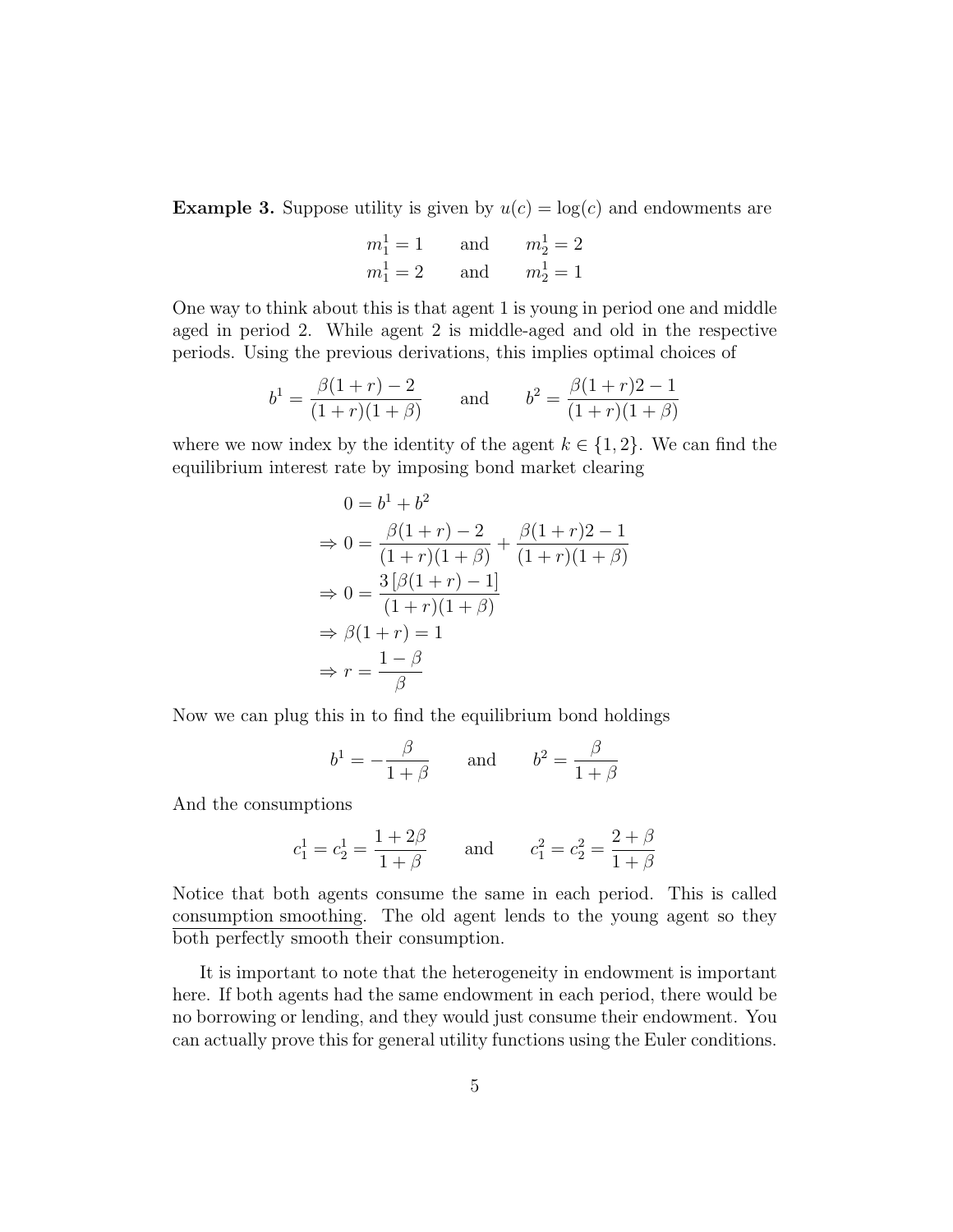**Example 3.** Suppose utility is given by  $u(c) = \log(c)$  and endowments are

$$
m_1^1 = 1
$$
 and  $m_2^1 = 2$   
\n $m_1^1 = 2$  and  $m_2^1 = 1$ 

One way to think about this is that agent 1 is young in period one and middle aged in period 2. While agent 2 is middle-aged and old in the respective periods. Using the previous derivations, this implies optimal choices of

$$
b^{1} = \frac{\beta(1+r) - 2}{(1+r)(1+\beta)}
$$
 and  $b^{2} = \frac{\beta(1+r)2 - 1}{(1+r)(1+\beta)}$ 

where we now index by the identity of the agent  $k \in \{1, 2\}$ . We can find the equilibrium interest rate by imposing bond market clearing

$$
0 = b1 + b2
$$
  
\n
$$
\Rightarrow 0 = \frac{\beta(1+r) - 2}{(1+r)(1+\beta)} + \frac{\beta(1+r)2 - 1}{(1+r)(1+\beta)}
$$
  
\n
$$
\Rightarrow 0 = \frac{3[\beta(1+r) - 1]}{(1+r)(1+\beta)}
$$
  
\n
$$
\Rightarrow \beta(1+r) = 1
$$
  
\n
$$
\Rightarrow r = \frac{1-\beta}{\beta}
$$

Now we can plug this in to find the equilibrium bond holdings

$$
b^1 = -\frac{\beta}{1+\beta}
$$
 and  $b^2 = \frac{\beta}{1+\beta}$ 

And the consumptions

$$
c_1^1 = c_2^1 = \frac{1+2\beta}{1+\beta}
$$
 and  $c_1^2 = c_2^2 = \frac{2+\beta}{1+\beta}$ 

Notice that both agents consume the same in each period. This is called consumption smoothing. The old agent lends to the young agent so they both perfectly smooth their consumption.

It is important to note that the heterogeneity in endowment is important here. If both agents had the same endowment in each period, there would be no borrowing or lending, and they would just consume their endowment. You can actually prove this for general utility functions using the Euler conditions.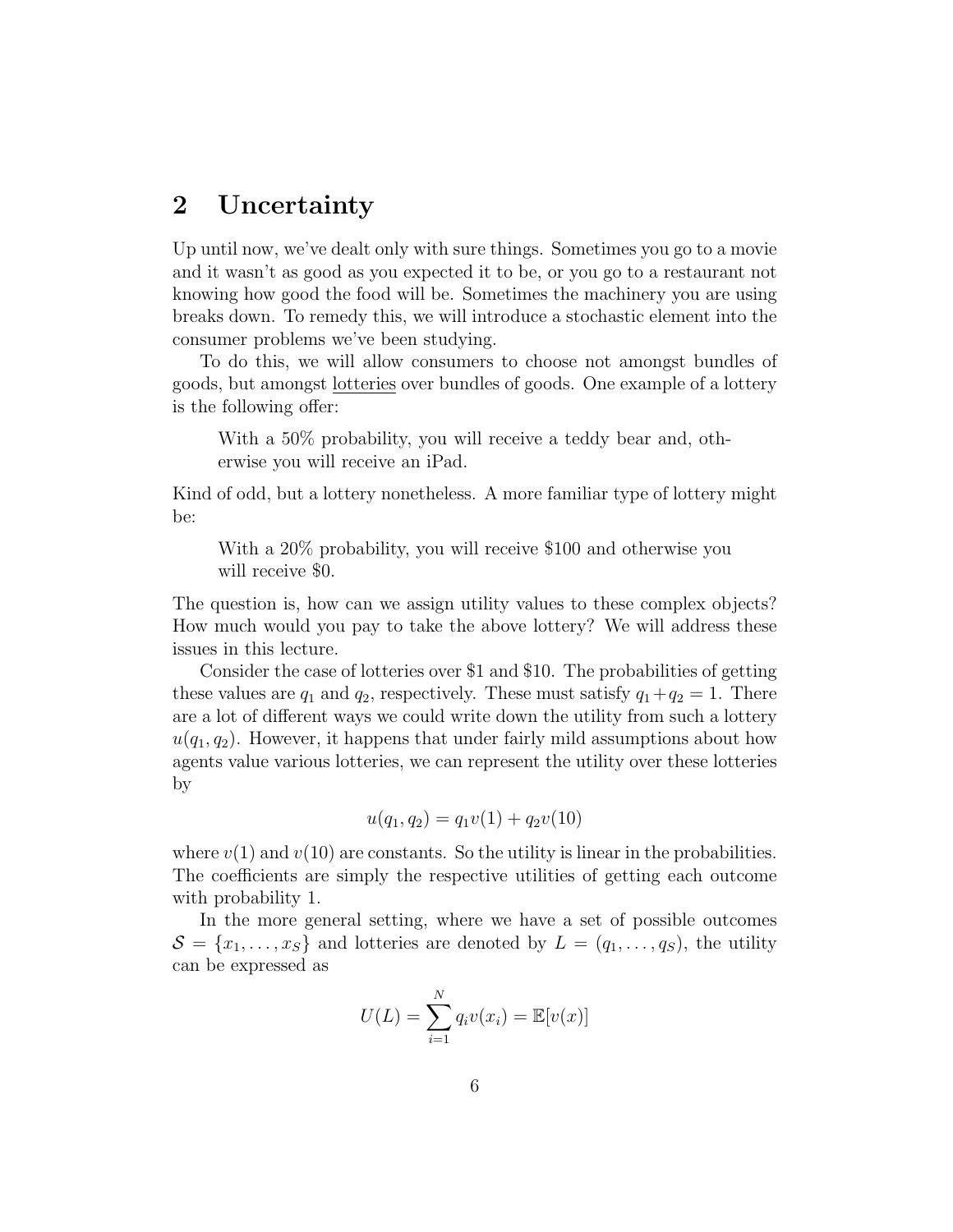## 2 Uncertainty

Up until now, we've dealt only with sure things. Sometimes you go to a movie and it wasn't as good as you expected it to be, or you go to a restaurant not knowing how good the food will be. Sometimes the machinery you are using breaks down. To remedy this, we will introduce a stochastic element into the consumer problems we've been studying.

To do this, we will allow consumers to choose not amongst bundles of goods, but amongst lotteries over bundles of goods. One example of a lottery is the following offer:

With a 50% probability, you will receive a teddy bear and, otherwise you will receive an iPad.

Kind of odd, but a lottery nonetheless. A more familiar type of lottery might be:

With a 20% probability, you will receive \$100 and otherwise you will receive \$0.

The question is, how can we assign utility values to these complex objects? How much would you pay to take the above lottery? We will address these issues in this lecture.

Consider the case of lotteries over \$1 and \$10. The probabilities of getting these values are  $q_1$  and  $q_2$ , respectively. These must satisfy  $q_1+q_2=1$ . There are a lot of different ways we could write down the utility from such a lottery  $u(q_1, q_2)$ . However, it happens that under fairly mild assumptions about how agents value various lotteries, we can represent the utility over these lotteries by

$$
u(q_1, q_2) = q_1 v(1) + q_2 v(10)
$$

where  $v(1)$  and  $v(10)$  are constants. So the utility is linear in the probabilities. The coefficients are simply the respective utilities of getting each outcome with probability 1.

In the more general setting, where we have a set of possible outcomes  $S = \{x_1, \ldots, x_S\}$  and lotteries are denoted by  $L = (q_1, \ldots, q_S)$ , the utility can be expressed as

$$
U(L) = \sum_{i=1}^{N} q_i v(x_i) = \mathbb{E}[v(x)]
$$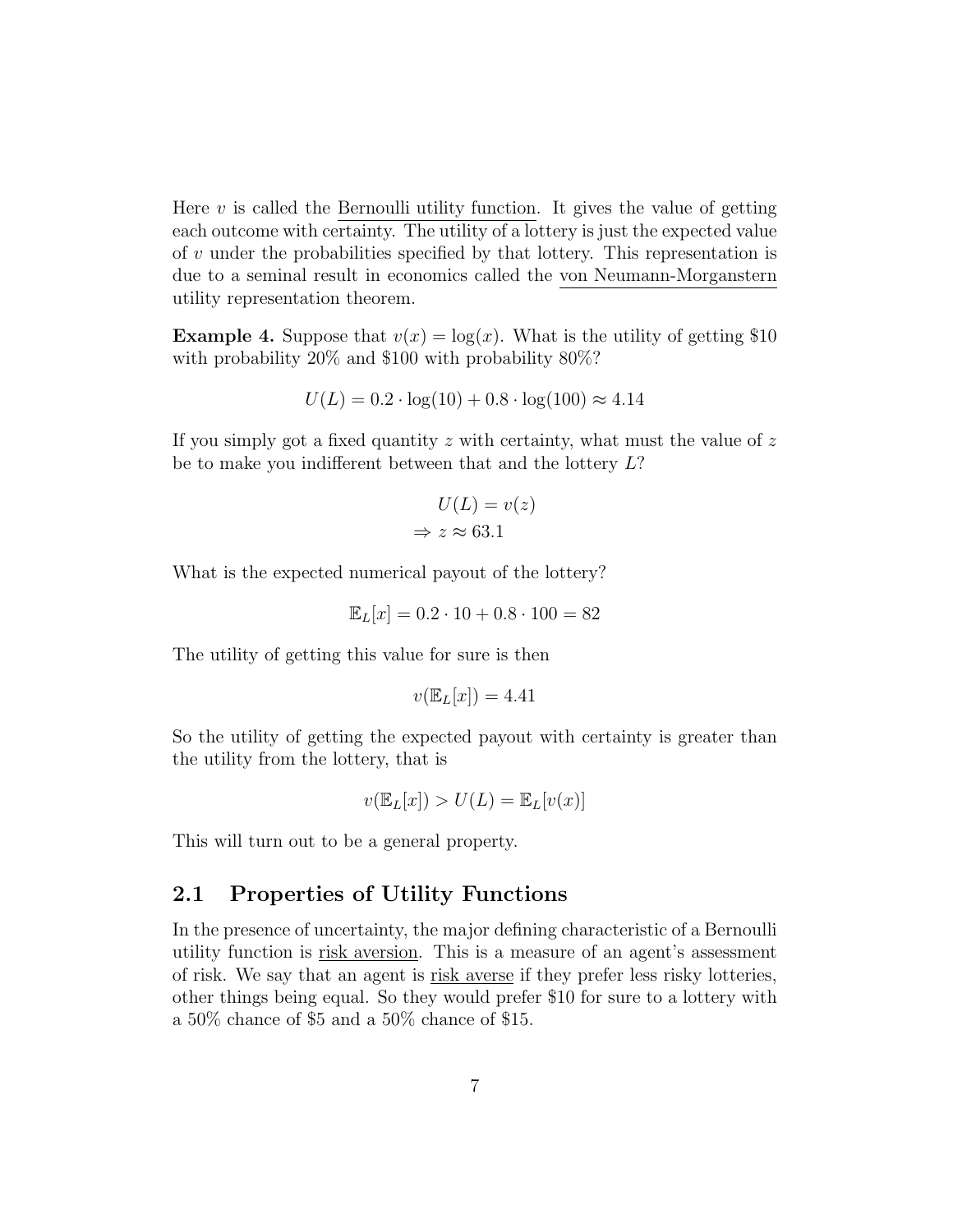Here  $v$  is called the Bernoulli utility function. It gives the value of getting each outcome with certainty. The utility of a lottery is just the expected value of v under the probabilities specified by that lottery. This representation is due to a seminal result in economics called the von Neumann-Morganstern utility representation theorem.

**Example 4.** Suppose that  $v(x) = \log(x)$ . What is the utility of getting \$10 with probability 20% and \$100 with probability 80%?

$$
U(L) = 0.2 \cdot \log(10) + 0.8 \cdot \log(100) \approx 4.14
$$

If you simply got a fixed quantity  $z$  with certainty, what must the value of  $z$ be to make you indifferent between that and the lottery L?

$$
U(L) = v(z)
$$
  
\n
$$
\Rightarrow z \approx 63.1
$$

What is the expected numerical payout of the lottery?

$$
\mathbb{E}_L[x] = 0.2 \cdot 10 + 0.8 \cdot 100 = 82
$$

The utility of getting this value for sure is then

$$
v(\mathbb{E}_L[x]) = 4.41
$$

So the utility of getting the expected payout with certainty is greater than the utility from the lottery, that is

$$
v(\mathbb{E}_L[x]) > U(L) = \mathbb{E}_L[v(x)]
$$

This will turn out to be a general property.

#### 2.1 Properties of Utility Functions

In the presence of uncertainty, the major defining characteristic of a Bernoulli utility function is risk aversion. This is a measure of an agent's assessment of risk. We say that an agent is risk averse if they prefer less risky lotteries, other things being equal. So they would prefer \$10 for sure to a lottery with a 50% chance of \$5 and a 50% chance of \$15.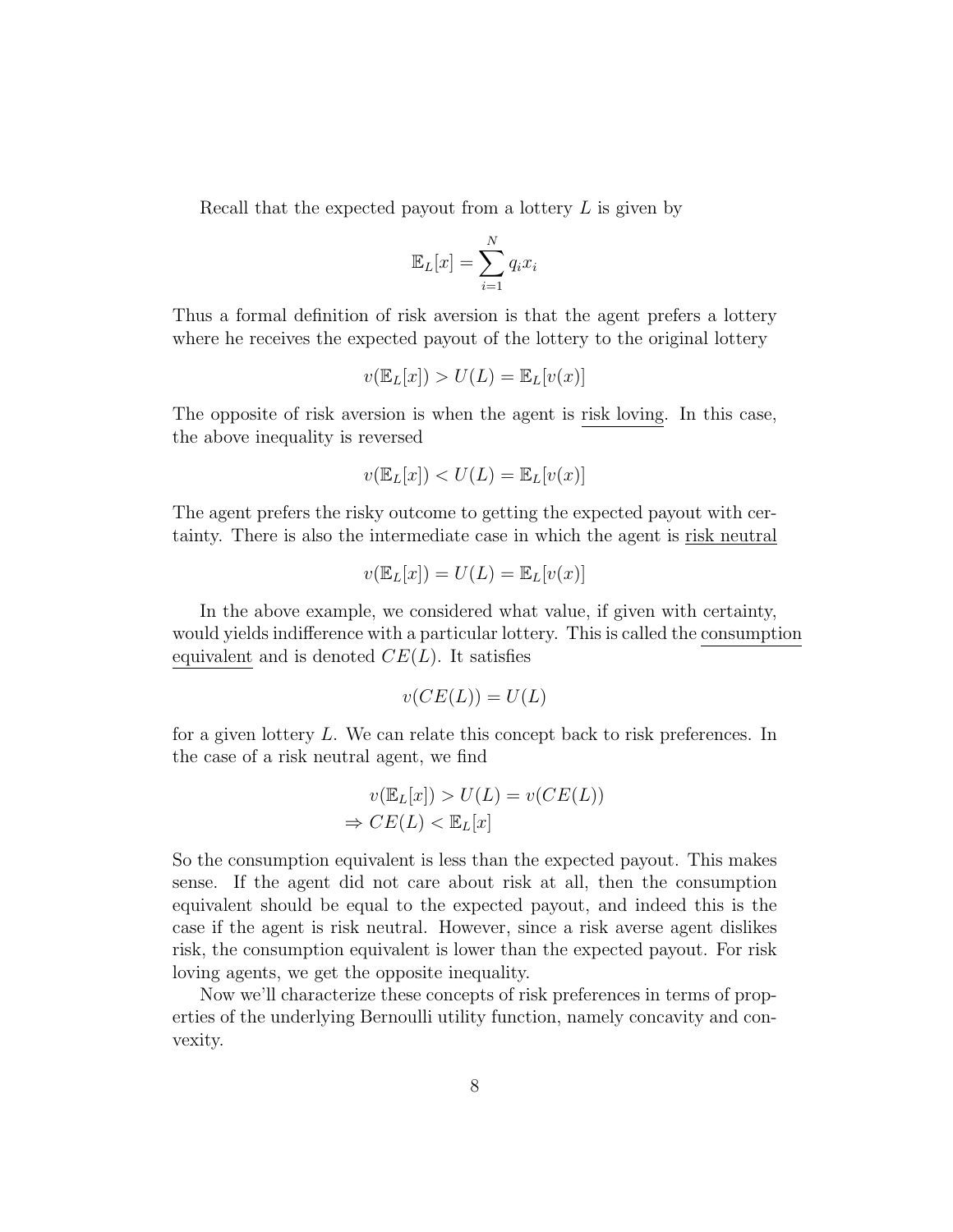Recall that the expected payout from a lottery L is given by

$$
\mathbb{E}_L[x] = \sum_{i=1}^N q_i x_i
$$

Thus a formal definition of risk aversion is that the agent prefers a lottery where he receives the expected payout of the lottery to the original lottery

$$
v(\mathbb{E}_L[x]) > U(L) = \mathbb{E}_L[v(x)]
$$

The opposite of risk aversion is when the agent is risk loving. In this case, the above inequality is reversed

$$
v(\mathbb{E}_L[x]) < U(L) = \mathbb{E}_L[v(x)]
$$

The agent prefers the risky outcome to getting the expected payout with certainty. There is also the intermediate case in which the agent is risk neutral

$$
v(\mathbb{E}_L[x]) = U(L) = \mathbb{E}_L[v(x)]
$$

In the above example, we considered what value, if given with certainty, would yields indifference with a particular lottery. This is called the consumption equivalent and is denoted  $CE(L)$ . It satisfies

$$
v(CE(L)) = U(L)
$$

for a given lottery L. We can relate this concept back to risk preferences. In the case of a risk neutral agent, we find

$$
v(\mathbb{E}_L[x]) > U(L) = v(CE(L))
$$
  

$$
\Rightarrow CE(L) < \mathbb{E}_L[x]
$$

So the consumption equivalent is less than the expected payout. This makes sense. If the agent did not care about risk at all, then the consumption equivalent should be equal to the expected payout, and indeed this is the case if the agent is risk neutral. However, since a risk averse agent dislikes risk, the consumption equivalent is lower than the expected payout. For risk loving agents, we get the opposite inequality.

Now we'll characterize these concepts of risk preferences in terms of properties of the underlying Bernoulli utility function, namely concavity and convexity.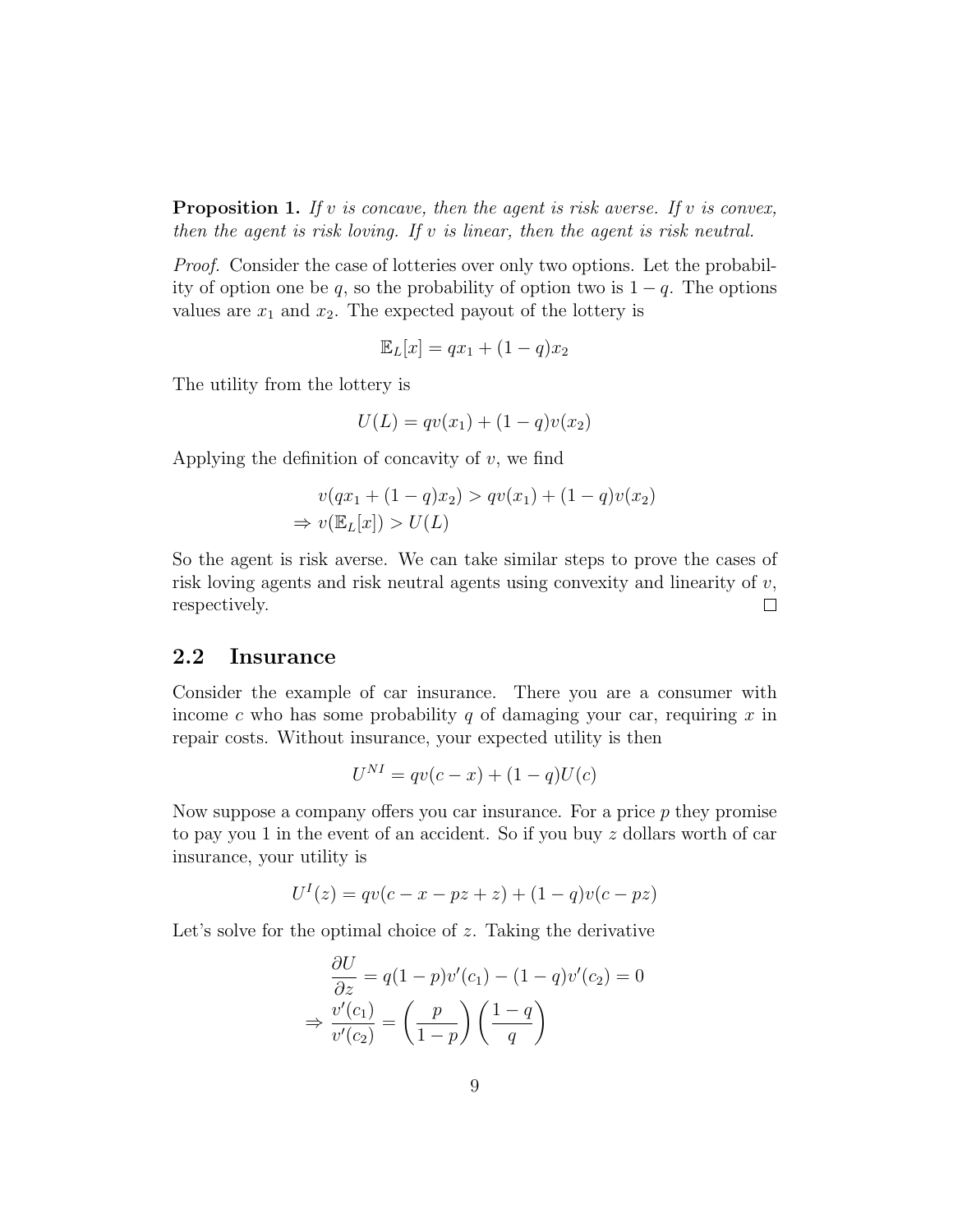**Proposition 1.** If v is concave, then the agent is risk averse. If v is convex, then the agent is risk loving. If  $v$  is linear, then the agent is risk neutral.

Proof. Consider the case of lotteries over only two options. Let the probability of option one be q, so the probability of option two is  $1 - q$ . The options values are  $x_1$  and  $x_2$ . The expected payout of the lottery is

$$
\mathbb{E}_L[x] = qx_1 + (1-q)x_2
$$

The utility from the lottery is

$$
U(L) = qv(x_1) + (1 - q)v(x_2)
$$

Applying the definition of concavity of  $v$ , we find

$$
v(qx_1 + (1-q)x_2) > qv(x_1) + (1-q)v(x_2)
$$
  
\n
$$
\Rightarrow v(\mathbb{E}_L[x]) > U(L)
$$

So the agent is risk averse. We can take similar steps to prove the cases of risk loving agents and risk neutral agents using convexity and linearity of  $v$ , respectively.  $\Box$ 

#### 2.2 Insurance

Consider the example of car insurance. There you are a consumer with income c who has some probability q of damaging your car, requiring  $x$  in repair costs. Without insurance, your expected utility is then

$$
U^{NI} = qv(c - x) + (1 - q)U(c)
$$

Now suppose a company offers you car insurance. For a price  $p$  they promise to pay you 1 in the event of an accident. So if you buy z dollars worth of car insurance, your utility is

$$
U^{I}(z) = qv(c - x - pz + z) + (1 - q)v(c - pz)
$$

Let's solve for the optimal choice of  $z$ . Taking the derivative

$$
\frac{\partial U}{\partial z} = q(1 - p)v'(c_1) - (1 - q)v'(c_2) = 0
$$

$$
\Rightarrow \frac{v'(c_1)}{v'(c_2)} = \left(\frac{p}{1 - p}\right)\left(\frac{1 - q}{q}\right)
$$